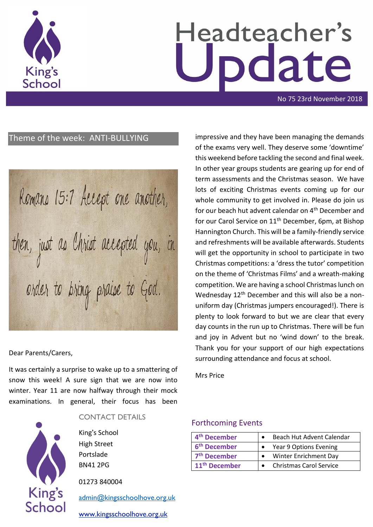

# Headteacher's date

No 75 23rd November 2018

# Theme of the week: ANTI-BULLYING

Romans 15:7 Accept one another, then, just as Christ accepted you, in order to bring praise to God.

Dear Parents/Carers,

It was certainly a surprise to wake up to a smattering of snow this week! A sure sign that we are now into winter. Year 11 are now halfway through their mock examinations. In general, their focus has been



#### CONTACT DETAILS

King's School High Street Portslade BN41 2PG

01273 840004

[admin@kingsschoolhove.org.uk](mailto:admin@kingsschoolhove.org.uk)

[www.kingsschoolhove.org.uk](http://www.kingsschoolhove.org.uk/)

impressive and they have been managing the demands of the exams very well. They deserve some 'downtime' this weekend before tackling the second and final week. In other year groups students are gearing up for end of term assessments and the Christmas season. We have lots of exciting Christmas events coming up for our whole community to get involved in. Please do join us for our beach hut advent calendar on 4<sup>th</sup> December and for our Carol Service on 11<sup>th</sup> December, 6pm, at Bishop Hannington Church. This will be a family-friendly service and refreshments will be available afterwards. Students will get the opportunity in school to participate in two Christmas competitions: a 'dress the tutor' competition on the theme of 'Christmas Films' and a wreath-making competition. We are having a school Christmas lunch on Wednesday 12<sup>th</sup> December and this will also be a nonuniform day (Christmas jumpers encouraged!). There is plenty to look forward to but we are clear that every day counts in the run up to Christmas. There will be fun and joy in Advent but no 'wind down' to the break. Thank you for your support of our high expectations surrounding attendance and focus at school.

Mrs Price

### Forthcoming Events

| 4 <sup>th</sup> December  | Beach Hut Advent Calendar      |
|---------------------------|--------------------------------|
| 6 <sup>th</sup> December  | Year 9 Options Evening         |
| 7 <sup>th</sup> December  | Winter Enrichment Day          |
| 11 <sup>th</sup> December | <b>Christmas Carol Service</b> |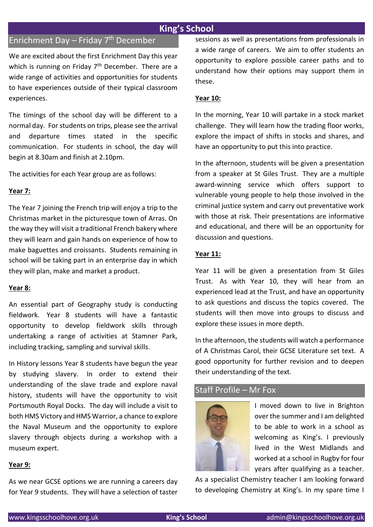# **King's School**

# Enrichment Day – Friday  $7<sup>th</sup>$  December

We are excited about the first Enrichment Day this year which is running on Friday  $7<sup>th</sup>$  December. There are a wide range of activities and opportunities for students to have experiences outside of their typical classroom experiences.

The timings of the school day will be different to a normal day. For students on trips, please see the arrival and departure times stated in the specific communication. For students in school, the day will begin at 8.30am and finish at 2.10pm.

The activities for each Year group are as follows:

#### **Year 7:**

The Year 7 joining the French trip will enjoy a trip to the Christmas market in the picturesque town of Arras. On the way they will visit a traditional French bakery where they will learn and gain hands on experience of how to make baguettes and croissants. Students remaining in school will be taking part in an enterprise day in which they will plan, make and market a product.

#### **Year 8:**

An essential part of Geography study is conducting fieldwork. Year 8 students will have a fantastic opportunity to develop fieldwork skills through undertaking a range of activities at Stamner Park, including tracking, sampling and survival skills.

In History lessons Year 8 students have begun the year by studying slavery. In order to extend their understanding of the slave trade and explore naval history, students will have the opportunity to visit Portsmouth Royal Docks. The day will include a visit to both HMS Victory and HMS Warrior, a chance to explore the Naval Museum and the opportunity to explore slavery through objects during a workshop with a museum expert.

#### **Year 9:**

As we near GCSE options we are running a careers day for Year 9 students. They will have a selection of taster sessions as well as presentations from professionals in a wide range of careers. We aim to offer students an opportunity to explore possible career paths and to understand how their options may support them in these.

#### **Year 10:**

In the morning, Year 10 will partake in a stock market challenge. They will learn how the trading floor works, explore the impact of shifts in stocks and shares, and have an opportunity to put this into practice.

In the afternoon, students will be given a presentation from a speaker at St Giles Trust. They are a multiple award-winning service which offers support to vulnerable young people to help those involved in the criminal justice system and carry out preventative work with those at risk. Their presentations are informative and educational, and there will be an opportunity for discussion and questions.

#### **Year 11:**

Year 11 will be given a presentation from St Giles Trust. As with Year 10, they will hear from an experienced lead at the Trust, and have an opportunity to ask questions and discuss the topics covered. The students will then move into groups to discuss and explore these issues in more depth.

In the afternoon, the students will watch a performance of A Christmas Carol, their GCSE Literature set text. A good opportunity for further revision and to deepen their understanding of the text.

## Staff Profile – Mr Fox



I moved down to live in Brighton over the summer and I am delighted to be able to work in a school as welcoming as King's. I previously lived in the West Midlands and worked at a school in Rugby for four years after qualifying as a teacher.

As a specialist Chemistry teacher I am looking forward to developing Chemistry at King's. In my spare time I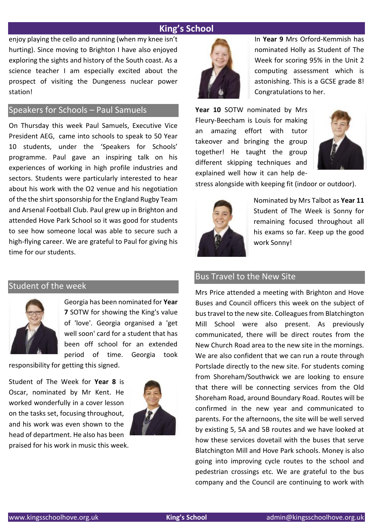# **King's School**

enjoy playing the cello and running (when my knee isn't hurting). Since moving to Brighton I have also enjoyed exploring the sights and history of the South coast. As a science teacher I am especially excited about the prospect of visiting the Dungeness nuclear power station!

## Speakers for Schools – Paul Samuels

On Thursday this week Paul Samuels, Executive Vice President AEG, came into schools to speak to 50 Year 10 students, under the 'Speakers for Schools' programme. Paul gave an inspiring talk on his experiences of working in high profile industries and sectors. Students were particularly interested to hear about his work with the O2 venue and his negotiation of the the shirt sponsorship for the England Rugby Team and Arsenal Football Club. Paul grew up in Brighton and attended Hove Park School so it was good for students to see how someone local was able to secure such a high-flying career. We are grateful to Paul for giving his time for our students.

# Student of the week



Georgia has been nominated for **Year 7** SOTW for showing the King's value of 'love'. Georgia organised a 'get well soon' card for a student that has been off school for an extended period of time. Georgia took

responsibility for getting this signed.

Student of The Week for **Year 8** is Oscar, nominated by Mr Kent. He worked wonderfully in a cover lesson on the tasks set, focusing throughout, and his work was even shown to the head of department. He also has been



praised for his work in music this week.



In **Year 9** Mrs Orford-Kemmish has nominated Holly as Student of The Week for scoring 95% in the Unit 2 computing assessment which is astonishing. This is a GCSE grade 8! Congratulations to her.

**Year 10** SOTW nominated by Mrs Fleury-Beecham is Louis for making an amazing effort with tutor takeover and bringing the group together! He taught the group different skipping techniques and explained well how it can help de-



stress alongside with keeping fit (indoor or outdoor).



Nominated by Mrs Talbot as **Year 11** Student of The Week is Sonny for remaining focused throughout all his exams so far. Keep up the good work Sonny!

## Bus Travel to the New Site

Mrs Price attended a meeting with Brighton and Hove Buses and Council officers this week on the subject of bus travel to the new site. Colleagues from Blatchington Mill School were also present. As previously communicated, there will be direct routes from the New Church Road area to the new site in the mornings. We are also confident that we can run a route through Portslade directly to the new site. For students coming from Shoreham/Southwick we are looking to ensure that there will be connecting services from the Old Shoreham Road, around Boundary Road. Routes will be confirmed in the new year and communicated to parents. For the afternoons, the site will be well served by existing 5, 5A and 5B routes and we have looked at how these services dovetail with the buses that serve Blatchington Mill and Hove Park schools. Money is also going into improving cycle routes to the school and pedestrian crossings etc. We are grateful to the bus company and the Council are continuing to work with